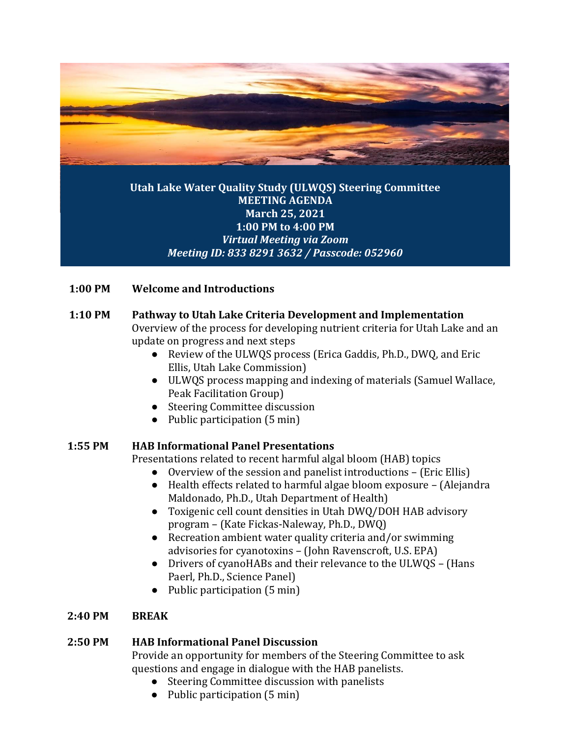

## **Utah Lake Water Quality Study (ULWQS) Steering Committee MEETING AGENDA March 25, 2021 1:00 PM to 4:00 PM** *Virtual Meeting via Zoom Meeting ID: 833 8291 3632 / Passcode: 052960*

## **1:00 PM Welcome and Introductions**

## **1:10 PM Pathway to Utah Lake Criteria Development and Implementation**

Overview of the process for developing nutrient criteria for Utah Lake and an update on progress and next steps

- Review of the ULWQS process (Erica Gaddis, Ph.D., DWQ, and Eric Ellis, Utah Lake Commission)
- ULWQS process mapping and indexing of materials (Samuel Wallace, Peak Facilitation Group)
- Steering Committee discussion
- Public participation (5 min)

# **1:55 PM HAB Informational Panel Presentations**

Presentations related to recent harmful algal bloom (HAB) topics

- Overview of the session and panelist introductions (Eric Ellis)
- Health effects related to harmful algae bloom exposure (Alejandra Maldonado, Ph.D., Utah Department of Health)
- Toxigenic cell count densities in Utah DWQ/DOH HAB advisory program – (Kate Fickas-Naleway, Ph.D., DWQ)
- Recreation ambient water quality criteria and/or swimming advisories for cyanotoxins – (John Ravenscroft, U.S. EPA)
- Drivers of cyanoHABs and their relevance to the ULWQS (Hans Paerl, Ph.D., Science Panel)
- Public participation (5 min)

# **2:40 PM BREAK**

# **2:50 PM HAB Informational Panel Discussion**

Provide an opportunity for members of the Steering Committee to ask questions and engage in dialogue with the HAB panelists.

- Steering Committee discussion with panelists
- Public participation (5 min)